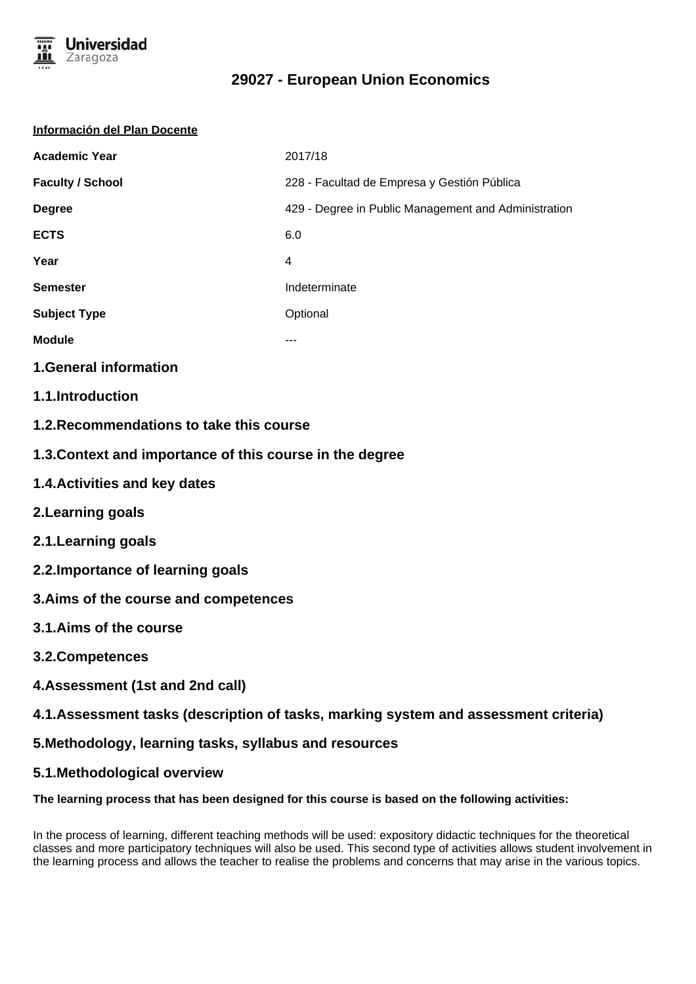

# **29027 - European Union Economics**

| Información del Plan Docente |                                                      |  |
|------------------------------|------------------------------------------------------|--|
| <b>Academic Year</b>         | 2017/18                                              |  |
| <b>Faculty / School</b>      | 228 - Facultad de Empresa y Gestión Pública          |  |
| <b>Degree</b>                | 429 - Degree in Public Management and Administration |  |
| <b>ECTS</b>                  | 6.0                                                  |  |
| Year                         | $\overline{4}$                                       |  |
| <b>Semester</b>              | Indeterminate                                        |  |
| <b>Subject Type</b>          | Optional                                             |  |
| <b>Module</b>                | ---                                                  |  |
| <b>1.General information</b> |                                                      |  |

- **1.1.Introduction**
- **1.2.Recommendations to take this course**
- **1.3.Context and importance of this course in the degree**
- **1.4.Activities and key dates**
- **2.Learning goals**
- **2.1.Learning goals**
- **2.2.Importance of learning goals**
- **3.Aims of the course and competences**
- **3.1.Aims of the course**
- **3.2.Competences**
- **4.Assessment (1st and 2nd call)**
- **4.1.Assessment tasks (description of tasks, marking system and assessment criteria)**
- **5.Methodology, learning tasks, syllabus and resources**
- **5.1.Methodological overview**

## **The learning process that has been designed for this course is based on the following activities:**

In the process of learning, different teaching methods will be used: expository didactic techniques for the theoretical classes and more participatory techniques will also be used. This second type of activities allows student involvement in the learning process and allows the teacher to realise the problems and concerns that may arise in the various topics.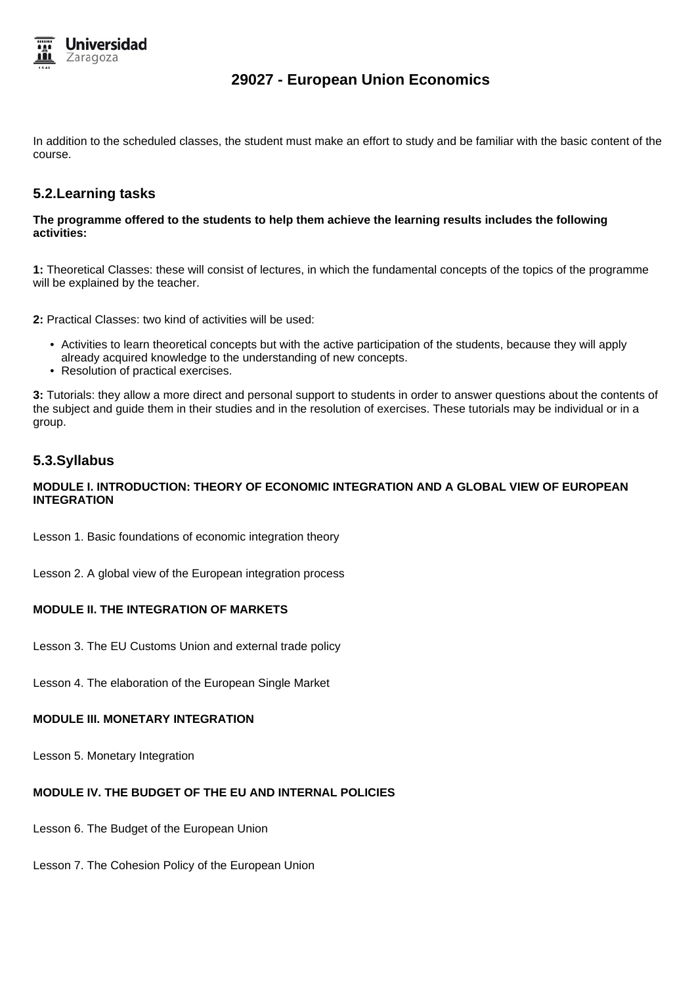

## **29027 - European Union Economics**

In addition to the scheduled classes, the student must make an effort to study and be familiar with the basic content of the course.

## **5.2.Learning tasks**

#### **The programme offered to the students to help them achieve the learning results includes the following activities:**

**1:** Theoretical Classes: these will consist of lectures, in which the fundamental concepts of the topics of the programme will be explained by the teacher.

**2:** Practical Classes: two kind of activities will be used:

- Activities to learn theoretical concepts but with the active participation of the students, because they will apply already acquired knowledge to the understanding of new concepts.
- Resolution of practical exercises.

**3:** Tutorials: they allow a more direct and personal support to students in order to answer questions about the contents of the subject and guide them in their studies and in the resolution of exercises. These tutorials may be individual or in a group.

## **5.3.Syllabus**

#### **MODULE I. INTRODUCTION: THEORY OF ECONOMIC INTEGRATION AND A GLOBAL VIEW OF EUROPEAN INTEGRATION**

Lesson 1. Basic foundations of economic integration theory

Lesson 2. A global view of the European integration process

#### **MODULE II. THE INTEGRATION OF MARKETS**

Lesson 3. The EU Customs Union and external trade policy

Lesson 4. The elaboration of the European Single Market

#### **MODULE III. MONETARY INTEGRATION**

Lesson 5. Monetary Integration

#### **MODULE IV. THE BUDGET OF THE EU AND INTERNAL POLICIES**

Lesson 6. The Budget of the European Union

Lesson 7. The Cohesion Policy of the European Union